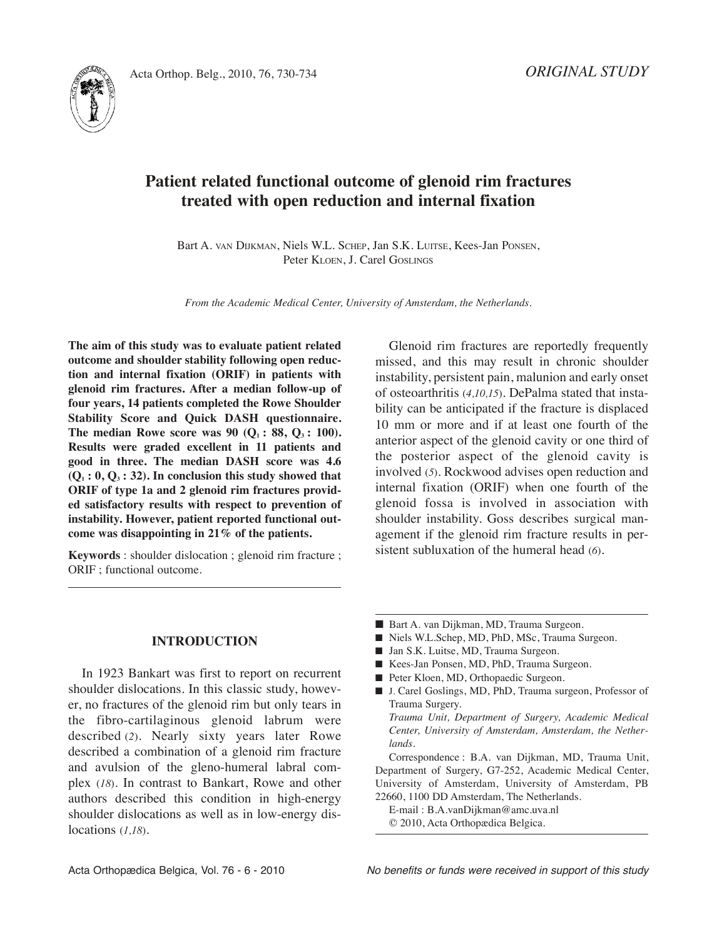



# **Patient related functional outcome of glenoid rim fractures treated with open reduction and internal fixation**

Bart A. van DIJKMAN, Niels W.L. SCHEP, Jan S.K. LUITSE, Kees-Jan PONSEN, Peter KLOEN, J. Carel GOSLINGS

*From the Academic Medical Center, University of Amsterdam, the Netherlands.*

**The aim of this study was to evaluate patient related outcome and shoulder stability following open reduction and internal fixation (ORIF) in patients with glenoid rim fractures. After a median follow-up of four years, 14 patients completed the Rowe Shoulder Stability Score and Quick DASH questionnaire. The median Rowe score was 90 (Q1 : 88, Q3 : 100). Results were graded excellent in 11 patients and good in three. The median DASH score was 4.6**  $(Q_1 : 0, Q_3 : 32)$ . In conclusion this study showed that **ORIF of type 1a and 2 glenoid rim fractures provided satisfactory results with respect to prevention of instability. However, patient reported functional outcome was disappointing in 21% of the patients.**

**Keywords** : shoulder dislocation ; glenoid rim fracture ; ORiF ; functional outcome.

Glenoid rim fractures are reportedly frequently missed, and this may result in chronic shoulder instability, persistent pain, malunion and early onset of osteoarthritis (*4,10,15*). DePalma stated that instability can be anticipated if the fracture is displaced 10 mm or more and if at least one fourth of the anterior aspect of the glenoid cavity or one third of the posterior aspect of the glenoid cavity is involved (*5*). Rockwood advises open reduction and internal fixation (ORiF) when one fourth of the glenoid fossa is involved in association with shoulder instability. Goss describes surgical management if the glenoid rim fracture results in persistent subluxation of the humeral head (*6*).

## **INTRODUCTION**

In 1923 Bankart was first to report on recurrent shoulder dislocations. In this classic study, however, no fractures of the glenoid rim but only tears in the fibro-cartilaginous glenoid labrum were described (*2*). Nearly sixty years later Rowe described a combination of a glenoid rim fracture and avulsion of the gleno-humeral labral complex (*18*). in contrast to Bankart, Rowe and other authors described this condition in high-energy shoulder dislocations as well as in low-energy dislocations (*1,18*).

- Bart A. van Dijkman, MD, Trauma Surgeon.
- Niels W.L.Schep, MD, PhD, MSc, Trauma Surgeon.
- Jan S.K. Luitse, MD, Trauma Surgeon.
- Kees-Jan Ponsen, MD, PhD, Trauma Surgeon.
- Peter Kloen, MD, Orthopaedic Surgeon.

*Center, University of Amsterdam, Amsterdam, the Netherlands.*

Correspondence : B.A. van Dijkman, MD, Trauma Unit, Department of Surgery, G7-252, Academic Medical Center, University of Amsterdam, University of Amsterdam, PB 22660, 1100 DD Amsterdam, The Netherlands.

E-mail : B.A.vanDijkman@amc.uva.nl © 2010, Acta Orthopædica Belgica.

<sup>■</sup> J. Carel Goslings, MD, PhD, Trauma surgeon, Professor of Trauma Surgery. *Trauma Unit, Department of Surgery, Academic Medical*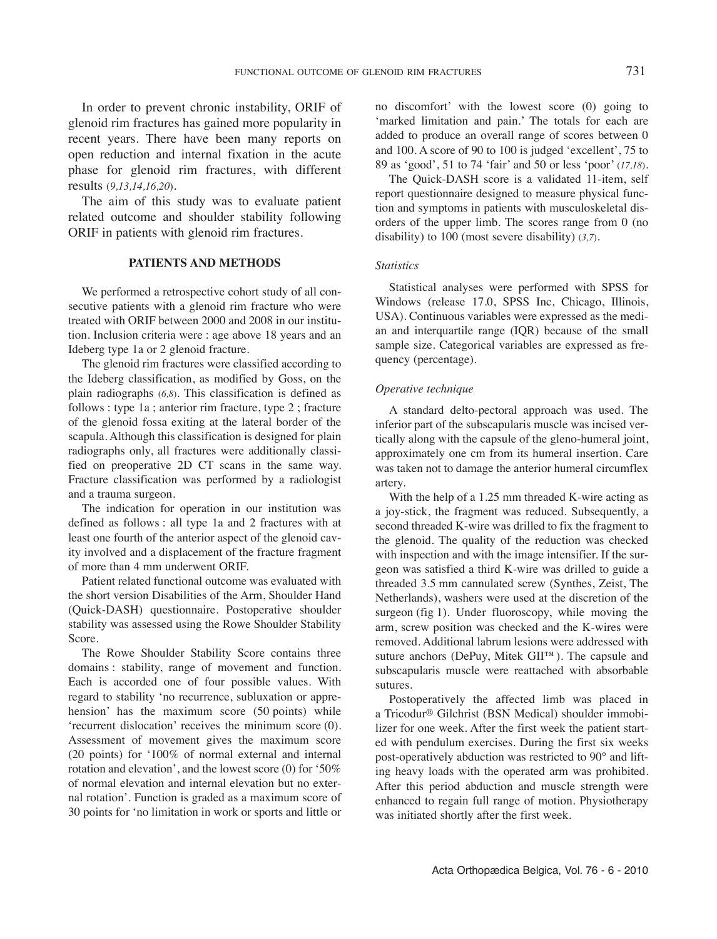In order to prevent chronic instability, ORIF of glenoid rim fractures has gained more popularity in recent years. There have been many reports on open reduction and internal fixation in the acute phase for glenoid rim fractures, with different results (*9,13,14,16,20*).

The aim of this study was to evaluate patient related outcome and shoulder stability following ORiF in patients with glenoid rim fractures.

#### **PATIENTS AND METHODS**

We performed a retrospective cohort study of all consecutive patients with a glenoid rim fracture who were treated with ORiF between 2000 and 2008 in our institution. Inclusion criteria were : age above 18 years and an Ideberg type 1a or 2 glenoid fracture.

The glenoid rim fractures were classified according to the Ideberg classification, as modified by Goss, on the plain radiographs (*6,8*). This classification is defined as follows : type 1a ; anterior rim fracture, type 2 ; fracture of the glenoid fossa exiting at the lateral border of the scapula. Although this classification is designed for plain radiographs only, all fractures were additionally classified on preoperative 2D CT scans in the same way. Fracture classification was performed by a radiologist and a trauma surgeon.

The indication for operation in our institution was defined as follows : all type 1a and 2 fractures with at least one fourth of the anterior aspect of the glenoid cavity involved and a displacement of the fracture fragment of more than 4 mm underwent ORiF.

Patient related functional outcome was evaluated with the short version Disabilities of the Arm, Shoulder Hand (Quick-DASh) questionnaire. Postoperative shoulder stability was assessed using the Rowe Shoulder Stability Score.

The Rowe Shoulder Stability Score contains three domains : stability, range of movement and function. Each is accorded one of four possible values. With regard to stability 'no recurrence, subluxation or apprehension' has the maximum score (50 points) while 'recurrent dislocation' receives the minimum score (0). Assessment of movement gives the maximum score (20 points) for '100% of normal external and internal rotation and elevation', and the lowest score (0) for '50% of normal elevation and internal elevation but no external rotation'. Function is graded as a maximum score of 30 points for 'no limitation in work or sports and little or

no discomfort' with the lowest score (0) going to 'marked limitation and pain.' The totals for each are added to produce an overall range of scores between 0 and 100. A score of 90 to 100 is judged 'excellent', 75 to 89 as 'good', 51 to 74 'fair' and 50 or less 'poor' (*17,18*).

The Quick-DASH score is a validated 11-item, self report questionnaire designed to measure physical function and symptoms in patients with musculoskeletal disorders of the upper limb. The scores range from 0 (no disability) to 100 (most severe disability) (*3,7*).

#### *Statistics*

Statistical analyses were performed with SPSS for Windows (release 17.0, SPSS Inc, Chicago, Illinois, USA). Continuous variables were expressed as the median and interquartile range (iQR) because of the small sample size. Categorical variables are expressed as frequency (percentage).

### *Operative technique*

A standard delto-pectoral approach was used. The inferior part of the subscapularis muscle was incised vertically along with the capsule of the gleno-humeral joint, approximately one cm from its humeral insertion. Care was taken not to damage the anterior humeral circumflex artery.

With the help of a 1.25 mm threaded K-wire acting as a joy-stick, the fragment was reduced. Subsequently, a second threaded K-wire was drilled to fix the fragment to the glenoid. The quality of the reduction was checked with inspection and with the image intensifier. If the surgeon was satisfied a third K-wire was drilled to guide a threaded 3.5 mm cannulated screw (Synthes, Zeist, The Netherlands), washers were used at the discretion of the surgeon (fig 1). Under fluoroscopy, while moving the arm, screw position was checked and the K-wires were removed. Additional labrum lesions were addressed with suture anchors (DePuy, Mitek GII™). The capsule and subscapularis muscle were reattached with absorbable sutures.

Postoperatively the affected limb was placed in a Tricodur® Gilchrist (BSN Medical) shoulder immobilizer for one week. After the first week the patient started with pendulum exercises. During the first six weeks post-operatively abduction was restricted to 90° and lifting heavy loads with the operated arm was prohibited. After this period abduction and muscle strength were enhanced to regain full range of motion. Physiotherapy was initiated shortly after the first week.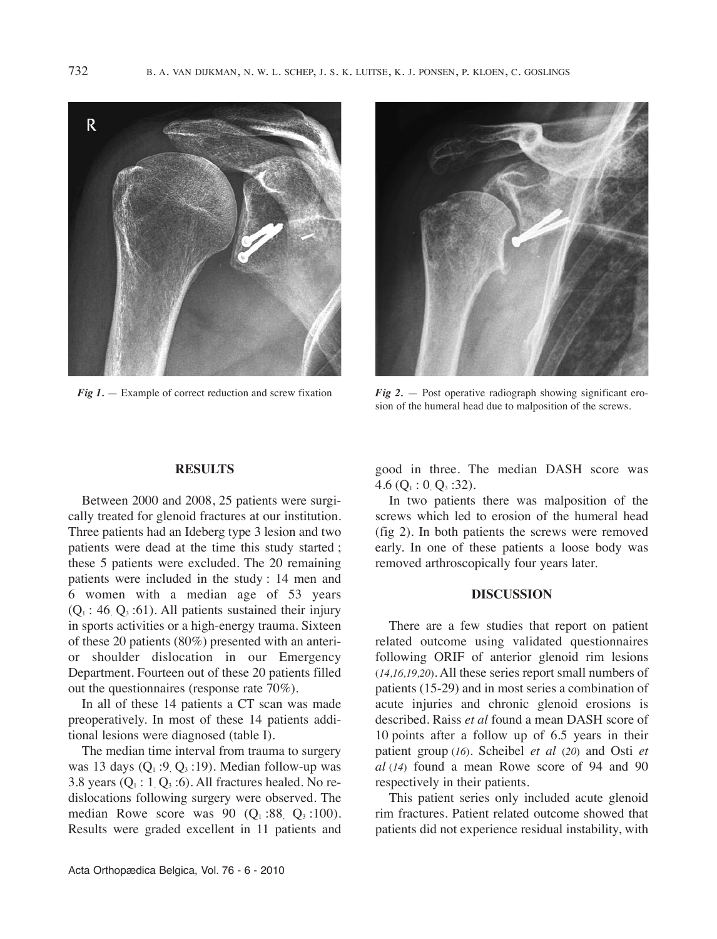



*Fig 1.* — Example of correct reduction and screw fixation *Fig 2.* — Post operative radiograph showing significant erosion of the humeral head due to malposition of the screws.

## **RESULTS**

Between 2000 and 2008, 25 patients were surgically treated for glenoid fractures at our institution. Three patients had an Ideberg type 3 lesion and two patients were dead at the time this study started ; these 5 patients were excluded. The 20 remaining patients were included in the study : 14 men and 6 women with a median age of 53 years  $(Q_1 : 46, Q_3 : 61)$ . All patients sustained their injury in sports activities or a high-energy trauma. Sixteen of these 20 patients (80%) presented with an anterior shoulder dislocation in our Emergency Department. Fourteen out of these 20 patients filled out the questionnaires (response rate 70%).

In all of these 14 patients a CT scan was made preoperatively. in most of these 14 patients additional lesions were diagnosed (table  $I$ ).

The median time interval from trauma to surgery was 13 days  $(Q_1 : 9, Q_3 : 19)$ . Median follow-up was 3.8 years  $(Q_1 : 1, Q_3 : 6)$ . All fractures healed. No redislocations following surgery were observed. The median Rowe score was  $90 (Q<sub>1</sub>:88, Q<sub>3</sub>:100).$ Results were graded excellent in 11 patients and good in three. The median DASh score was 4.6  $(Q_1 : 0, Q_3 : 32)$ .

In two patients there was malposition of the screws which led to erosion of the humeral head (fig 2). in both patients the screws were removed early. In one of these patients a loose body was removed arthroscopically four years later.

## **DISCUSSION**

There are a few studies that report on patient related outcome using validated questionnaires following ORiF of anterior glenoid rim lesions (*14,16,19,20*). All these series report small numbers of patients (15-29) and in most series a combination of acute injuries and chronic glenoid erosions is described. Raiss *et al* found a mean DASh score of 10 points after a follow up of 6.5 years in their patient group (*16*). Scheibel *et al* (*20*) and Osti *et al* (*14*) found a mean Rowe score of 94 and 90 respectively in their patients.

This patient series only included acute glenoid rim fractures. Patient related outcome showed that patients did not experience residual instability, with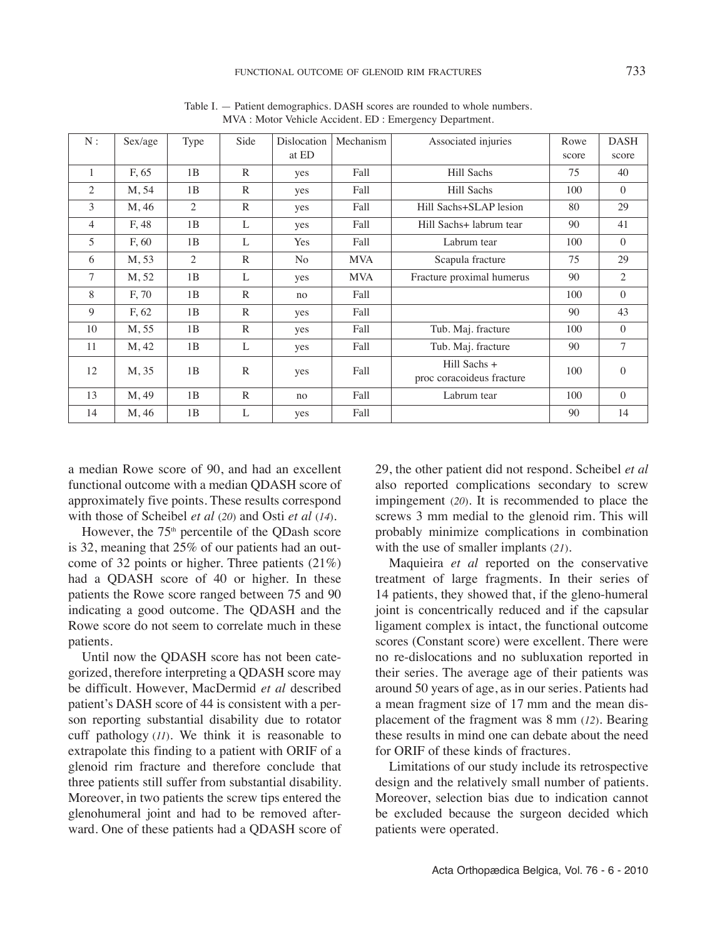| N:           | Sex/age | Type           | Side         | Dislocation | Mechanism  | Associated injuries                       | Rowe  | <b>DASH</b>    |
|--------------|---------|----------------|--------------|-------------|------------|-------------------------------------------|-------|----------------|
|              |         |                |              | at ED       |            |                                           | score | score          |
| $\mathbf{1}$ | F, 65   | 1B             | $\mathbb{R}$ | yes         | Fall       | <b>Hill Sachs</b>                         | 75    | 40             |
| 2            | M, 54   | 1B             | $\mathbb{R}$ | yes         | Fall       | Hill Sachs                                | 100   | $\theta$       |
| 3            | M, 46   | $\overline{2}$ | $\mathbb{R}$ | yes         | Fall       | Hill Sachs+SLAP lesion                    | 80    | 29             |
| 4            | F, 48   | 1B             | L            | yes         | Fall       | Hill Sachs+ labrum tear                   | 90    | 41             |
| 5            | F, 60   | 1B             | L            | Yes         | Fall       | Labrum tear                               | 100   | $\theta$       |
| 6            | M, 53   | $\overline{2}$ | $\mathbb{R}$ | No          | <b>MVA</b> | Scapula fracture                          | 75    | 29             |
| 7            | M, 52   | 1B             | L            | yes         | MVA        | Fracture proximal humerus                 | 90    | $\overline{2}$ |
| 8            | F, 70   | 1B             | $\mathbb{R}$ | no          | Fall       |                                           | 100   | $\theta$       |
| 9            | F, 62   | 1B             | $\mathbb{R}$ | yes         | Fall       |                                           | 90    | 43             |
| 10           | M, 55   | 1B             | $\mathbb{R}$ | yes         | Fall       | Tub. Maj. fracture                        | 100   | $\theta$       |
| 11           | M, 42   | 1B             | L            | yes         | Fall       | Tub. Maj. fracture                        | 90    | 7              |
| 12           | M, 35   | 1B             | $\mathbb{R}$ | yes         | Fall       | Hill Sachs +<br>proc coracoideus fracture | 100   | $\mathbf{0}$   |
| 13           | M, 49   | 1B             | $\mathbb{R}$ | no          | Fall       | Labrum tear                               | 100   | $\theta$       |
| 14           | M, 46   | 1B             | L            | yes         | Fall       |                                           | 90    | 14             |

Table I. — Patient demographics. DASH scores are rounded to whole numbers. MvA : Motor vehicle Accident. ED : Emergency Department.

a median Rowe score of 90, and had an excellent functional outcome with a median ODASH score of approximately five points. These results correspond with those of Scheibel *et al* (*20*) and Osti *et al* (*14*)*.*

However, the  $75<sup>th</sup>$  percentile of the QDash score is 32, meaning that 25% of our patients had an outcome of 32 points or higher. Three patients (21%) had a QDASH score of 40 or higher. In these patients the Rowe score ranged between 75 and 90 indicating a good outcome. The QDASH and the Rowe score do not seem to correlate much in these patients.

Until now the QDASH score has not been categorized, therefore interpreting a QDASh score may be difficult. however, MacDermid *et al* described patient's DASH score of 44 is consistent with a person reporting substantial disability due to rotator cuff pathology (*11*). We think it is reasonable to extrapolate this finding to a patient with ORiF of a glenoid rim fracture and therefore conclude that three patients still suffer from substantial disability. Moreover, in two patients the screw tips entered the glenohumeral joint and had to be removed afterward. One of these patients had a ODASH score of 29, the other patient did not respond. Scheibel *et al* also reported complications secondary to screw impingement (*20*). it is recommended to place the screws 3 mm medial to the glenoid rim. This will probably minimize complications in combination with the use of smaller implants (*21*).

Maquieira *et al* reported on the conservative treatment of large fragments. in their series of 14 patients, they showed that, if the gleno-humeral joint is concentrically reduced and if the capsular ligament complex is intact, the functional outcome scores (Constant score) were excellent. There were no re-dislocations and no subluxation reported in their series. The average age of their patients was around 50 years of age, as in our series. Patients had a mean fragment size of 17 mm and the mean displacement of the fragment was 8 mm (*12*). Bearing these results in mind one can debate about the need for ORiF of these kinds of fractures.

Limitations of our study include its retrospective design and the relatively small number of patients. Moreover, selection bias due to indication cannot be excluded because the surgeon decided which patients were operated.